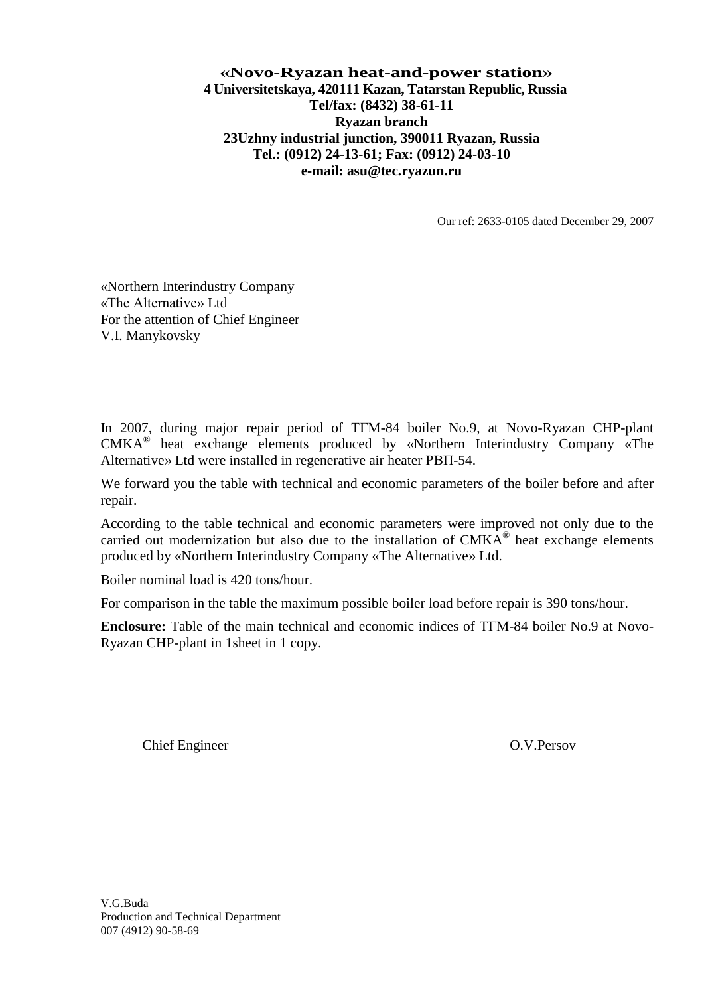## **«Novo-Ryazan heat-and-power station» 4 Universitetskaya, 420111 Kazan, Tatarstan Republic, Russia Tel/fax: (8432) 38-61-11 Ryazan branch 23Uzhny industrial junction, 390011 Ryazan, Russia Tel.: (0912) 24-13-61; Fax: (0912) 24-03-10 e-mail: asu@tec.ryazun.ru**

Our ref: 2633-0105 dated December 29, 2007

«Northern Interindustry Company «The Alternative» Ltd For the attention of Chief Engineer V.I. Manykovsky

In 2007, during major repair period of TFM-84 boiler No.9, at Novo-Ryazan CHP-plant CMKA® heat exchange elements produced by «Northern Interindustry Company «The Alternative» Ltd were installed in regenerative air heater РВП-54.

We forward you the table with technical and economic parameters of the boiler before and after repair.

According to the table technical and economic parameters were improved not only due to the carried out modernization but also due to the installation of  $CMKA^{\circledR}$  heat exchange elements produced by «Northern Interindustry Company «The Alternative» Ltd.

Boiler nominal load is 420 tons/hour.

For comparison in the table the maximum possible boiler load before repair is 390 tons/hour.

**Enclosure:** Table of the main technical and economic indices of ТГМ-84 boiler No.9 at Novo-Ryazan CHP-plant in 1sheet in 1 copy.

Chief Engineer O.V.Persov